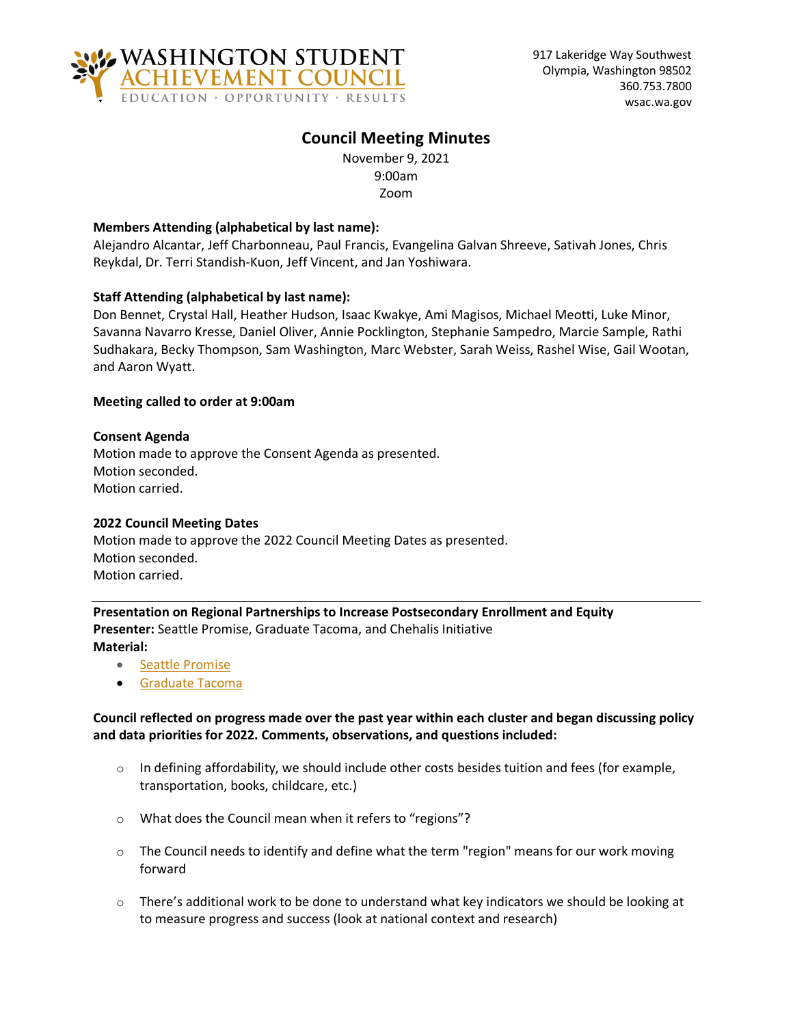

# **Council Meeting Minutes**

November 9, 2021 9:00am Zoom

# **Members Attending (alphabetical by last name):**

Alejandro Alcantar, Jeff Charbonneau, Paul Francis, Evangelina Galvan Shreeve, Sativah Jones, Chris Reykdal, Dr. Terri Standish-Kuon, Jeff Vincent, and Jan Yoshiwara.

## **Staff Attending (alphabetical by last name):**

Don Bennet, Crystal Hall, Heather Hudson, Isaac Kwakye, Ami Magisos, Michael Meotti, Luke Minor, Savanna Navarro Kresse, Daniel Oliver, Annie Pocklington, Stephanie Sampedro, Marcie Sample, Rathi Sudhakara, Becky Thompson, Sam Washington, Marc Webster, Sarah Weiss, Rashel Wise, Gail Wootan, and Aaron Wyatt.

## **Meeting called to order at 9:00am**

## **Consent Agenda**

Motion made to approve the Consent Agenda as presented. Motion seconded. Motion carried.

## **2022 Council Meeting Dates**

Motion made to approve the 2022 Council Meeting Dates as presented. Motion seconded. Motion carried.

**Presentation on Regional Partnerships to Increase Postsecondary Enrollment and Equity Presenter:** Seattle Promise, Graduate Tacoma, and Chehalis Initiative **Material:**

- [Seattle Promise](https://wsac.wa.gov/sites/default/files/2021-11-09-0141-Seattle-Promise.pdf)
- [Graduate Tacoma](https://wsac.wa.gov/sites/default/files/2021-11-09-0142%20Graduate-Tacoma-Goals-and-Indicators.pdf)

# **Council reflected on progress made over the past year within each cluster and began discussing policy and data priorities for 2022. Comments, observations, and questions included:**

- $\circ$  In defining affordability, we should include other costs besides tuition and fees (for example, transportation, books, childcare, etc.)
- o What does the Council mean when it refers to "regions"?
- $\circ$  The Council needs to identify and define what the term "region" means for our work moving forward
- $\circ$  There's additional work to be done to understand what key indicators we should be looking at to measure progress and success (look at national context and research)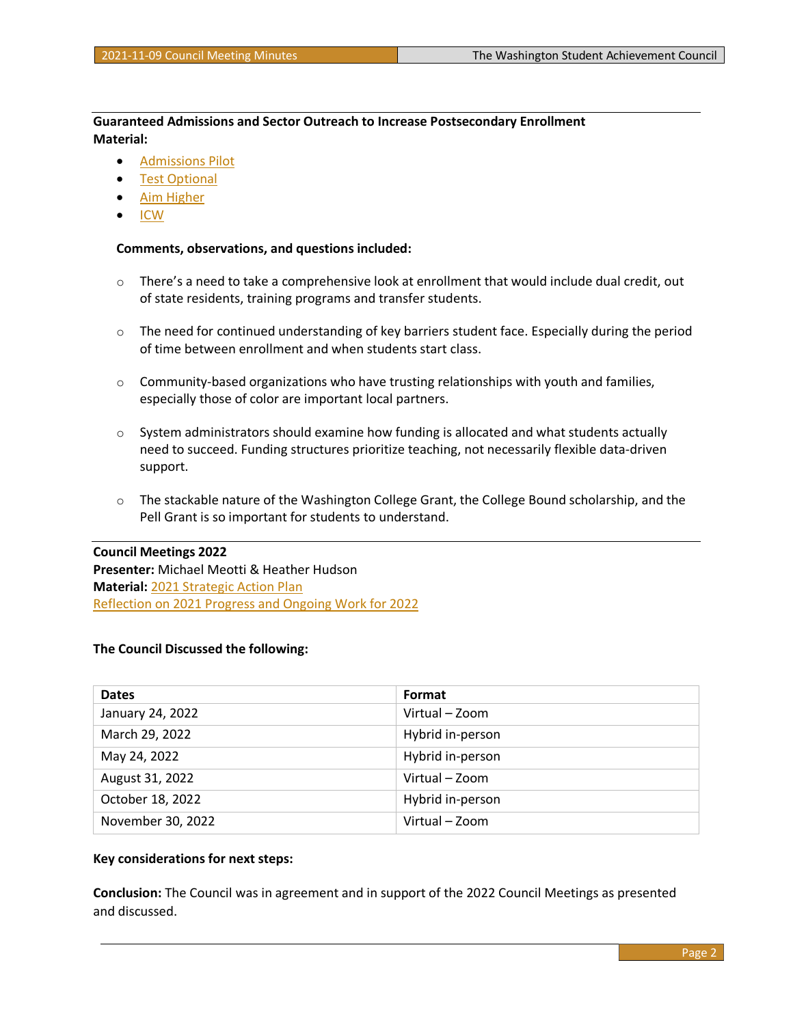**Guaranteed Admissions and Sector Outreach to Increase Postsecondary Enrollment Material:**

- [Admissions Pilot](https://wsac.wa.gov/sites/default/files/2021-11-09-0241-Admissions-Pilot.pdf)
- **[Test Optional](https://wsac.wa.gov/sites/default/files/2021-11-09-0242-Test-Optional.pdf)**
- [Aim Higher](https://wsac.wa.gov/sites/default/files/2021-11-09-0243-Aim-Higher.pdf)
- [ICW](https://wsac.wa.gov/sites/default/files/2021-11-09-0244-ICW.pdf)

### **Comments, observations, and questions included:**

- $\circ$  There's a need to take a comprehensive look at enrollment that would include dual credit, out of state residents, training programs and transfer students.
- $\circ$  The need for continued understanding of key barriers student face. Especially during the period of time between enrollment and when students start class.
- $\circ$  Community-based organizations who have trusting relationships with youth and families, especially those of color are important local partners.
- $\circ$  System administrators should examine how funding is allocated and what students actually need to succeed. Funding structures prioritize teaching, not necessarily flexible data-driven support.
- $\circ$  The stackable nature of the Washington College Grant, the College Bound scholarship, and the Pell Grant is so important for students to understand.

#### **Council Meetings 2022**

**Presenter:** Michael Meotti & Heather Hudson **Material:** [2021 Strategic Action Plan](https://wsac.wa.gov/sites/default/files/2021-Strategic-Action-Plan.pdf) [Reflection on 2021 Progress and Ongoing Work for 2022](https://wsac.wa.gov/sites/default/files/2021-11-09-0321-2021-22-Update.pdf)

### **The Council Discussed the following:**

| <b>Dates</b>      | Format           |
|-------------------|------------------|
| January 24, 2022  | Virtual – Zoom   |
| March 29, 2022    | Hybrid in-person |
| May 24, 2022      | Hybrid in-person |
| August 31, 2022   | Virtual - Zoom   |
| October 18, 2022  | Hybrid in-person |
| November 30, 2022 | Virtual - Zoom   |

### **Key considerations for next steps:**

**Conclusion:** The Council was in agreement and in support of the 2022 Council Meetings as presented and discussed.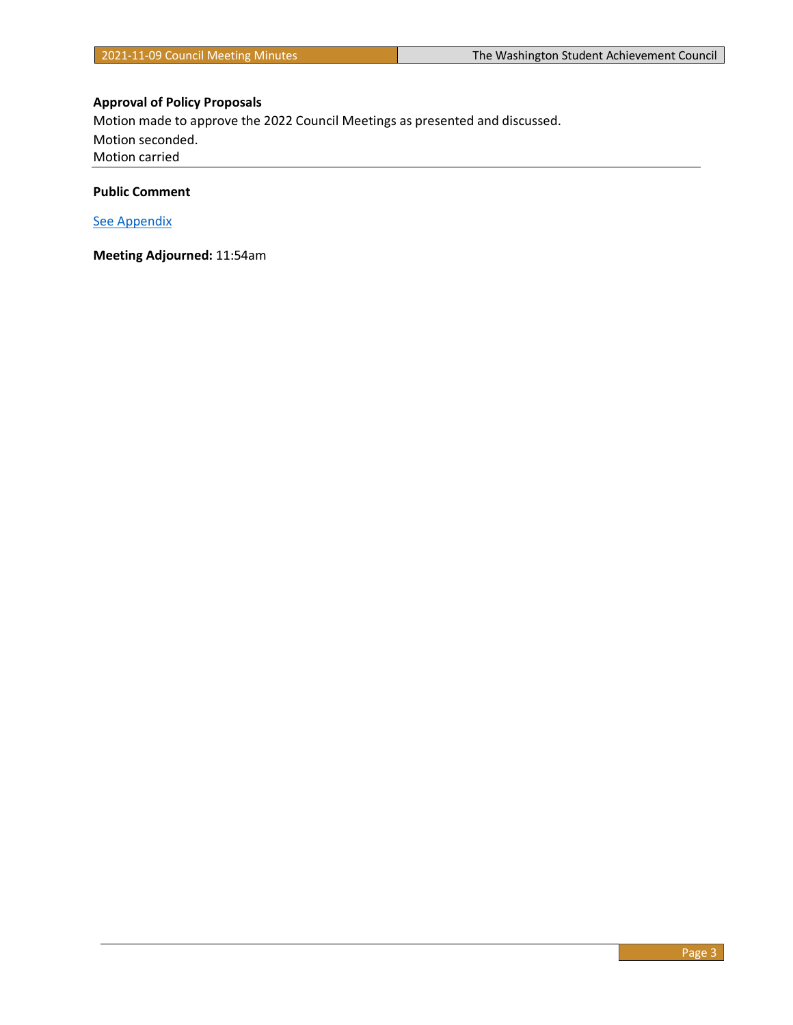# **Approval of Policy Proposals**

Motion made to approve the 2022 Council Meetings as presented and discussed. Motion seconded. Motion carried

# **Public Comment**

[See Appendix](#page-3-0)

**Meeting Adjourned:** 11:54am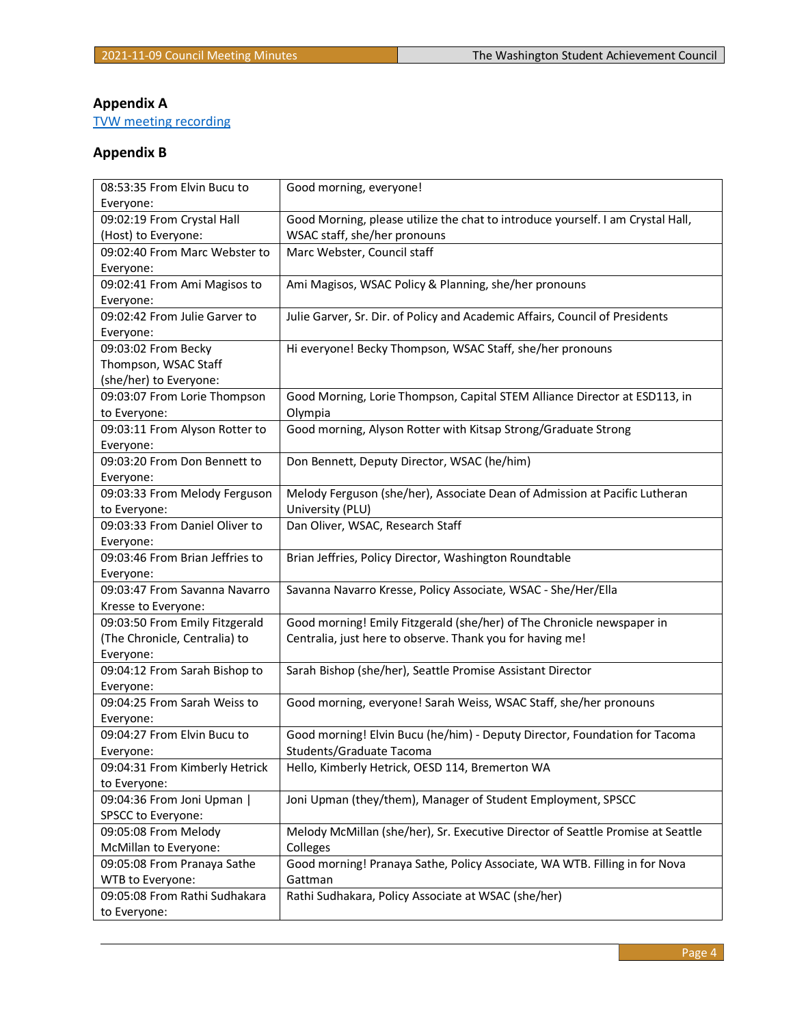# <span id="page-3-0"></span>**Appendix A**

[TVW meeting recording](https://tvw.org/video/washington-student-achievement-council-2021111107/?eventID=2021111107)

# **Appendix B**

| 08:53:35 From Elvin Bucu to     | Good morning, everyone!                                                         |
|---------------------------------|---------------------------------------------------------------------------------|
| Everyone:                       |                                                                                 |
| 09:02:19 From Crystal Hall      | Good Morning, please utilize the chat to introduce yourself. I am Crystal Hall, |
| (Host) to Everyone:             | WSAC staff, she/her pronouns                                                    |
| 09:02:40 From Marc Webster to   | Marc Webster, Council staff                                                     |
| Everyone:                       |                                                                                 |
| 09:02:41 From Ami Magisos to    | Ami Magisos, WSAC Policy & Planning, she/her pronouns                           |
| Everyone:                       |                                                                                 |
| 09:02:42 From Julie Garver to   | Julie Garver, Sr. Dir. of Policy and Academic Affairs, Council of Presidents    |
| Everyone:                       |                                                                                 |
| 09:03:02 From Becky             | Hi everyone! Becky Thompson, WSAC Staff, she/her pronouns                       |
| Thompson, WSAC Staff            |                                                                                 |
| (she/her) to Everyone:          |                                                                                 |
| 09:03:07 From Lorie Thompson    | Good Morning, Lorie Thompson, Capital STEM Alliance Director at ESD113, in      |
| to Everyone:                    | Olympia                                                                         |
| 09:03:11 From Alyson Rotter to  | Good morning, Alyson Rotter with Kitsap Strong/Graduate Strong                  |
| Everyone:                       |                                                                                 |
| 09:03:20 From Don Bennett to    | Don Bennett, Deputy Director, WSAC (he/him)                                     |
| Everyone:                       |                                                                                 |
| 09:03:33 From Melody Ferguson   | Melody Ferguson (she/her), Associate Dean of Admission at Pacific Lutheran      |
| to Everyone:                    | University (PLU)                                                                |
| 09:03:33 From Daniel Oliver to  | Dan Oliver, WSAC, Research Staff                                                |
| Everyone:                       |                                                                                 |
| 09:03:46 From Brian Jeffries to | Brian Jeffries, Policy Director, Washington Roundtable                          |
| Everyone:                       |                                                                                 |
| 09:03:47 From Savanna Navarro   | Savanna Navarro Kresse, Policy Associate, WSAC - She/Her/Ella                   |
| Kresse to Everyone:             |                                                                                 |
| 09:03:50 From Emily Fitzgerald  | Good morning! Emily Fitzgerald (she/her) of The Chronicle newspaper in          |
| (The Chronicle, Centralia) to   | Centralia, just here to observe. Thank you for having me!                       |
| Everyone:                       |                                                                                 |
| 09:04:12 From Sarah Bishop to   | Sarah Bishop (she/her), Seattle Promise Assistant Director                      |
| Everyone:                       |                                                                                 |
| 09:04:25 From Sarah Weiss to    | Good morning, everyone! Sarah Weiss, WSAC Staff, she/her pronouns               |
| Everyone:                       |                                                                                 |
| 09:04:27 From Elvin Bucu to     | Good morning! Elvin Bucu (he/him) - Deputy Director, Foundation for Tacoma      |
| Everyone:                       | Students/Graduate Tacoma                                                        |
| 09:04:31 From Kimberly Hetrick  | Hello, Kimberly Hetrick, OESD 114, Bremerton WA                                 |
| to Everyone:                    |                                                                                 |
| 09:04:36 From Joni Upman        | Joni Upman (they/them), Manager of Student Employment, SPSCC                    |
| SPSCC to Everyone:              |                                                                                 |
| 09:05:08 From Melody            | Melody McMillan (she/her), Sr. Executive Director of Seattle Promise at Seattle |
| McMillan to Everyone:           | Colleges                                                                        |
| 09:05:08 From Pranaya Sathe     | Good morning! Pranaya Sathe, Policy Associate, WA WTB. Filling in for Nova      |
| WTB to Everyone:                | Gattman                                                                         |
| 09:05:08 From Rathi Sudhakara   | Rathi Sudhakara, Policy Associate at WSAC (she/her)                             |
|                                 |                                                                                 |
| to Everyone:                    |                                                                                 |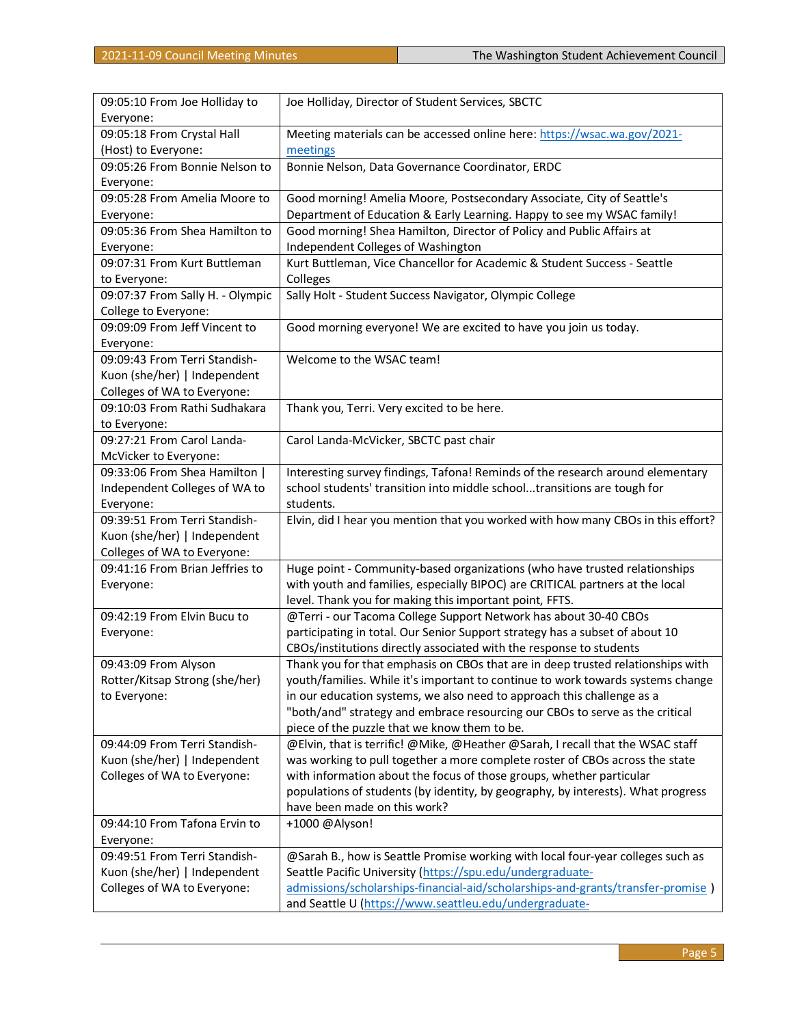| 09:05:10 From Joe Holliday to    | Joe Holliday, Director of Student Services, SBCTC                                |
|----------------------------------|----------------------------------------------------------------------------------|
| Everyone:                        |                                                                                  |
| 09:05:18 From Crystal Hall       | Meeting materials can be accessed online here: https://wsac.wa.gov/2021-         |
| (Host) to Everyone:              | meetings                                                                         |
| 09:05:26 From Bonnie Nelson to   | Bonnie Nelson, Data Governance Coordinator, ERDC                                 |
| Everyone:                        |                                                                                  |
| 09:05:28 From Amelia Moore to    | Good morning! Amelia Moore, Postsecondary Associate, City of Seattle's           |
| Everyone:                        | Department of Education & Early Learning. Happy to see my WSAC family!           |
| 09:05:36 From Shea Hamilton to   | Good morning! Shea Hamilton, Director of Policy and Public Affairs at            |
| Everyone:                        | Independent Colleges of Washington                                               |
| 09:07:31 From Kurt Buttleman     | Kurt Buttleman, Vice Chancellor for Academic & Student Success - Seattle         |
| to Everyone:                     | Colleges                                                                         |
| 09:07:37 From Sally H. - Olympic | Sally Holt - Student Success Navigator, Olympic College                          |
| College to Everyone:             |                                                                                  |
| 09:09:09 From Jeff Vincent to    | Good morning everyone! We are excited to have you join us today.                 |
| Everyone:                        |                                                                                  |
| 09:09:43 From Terri Standish-    | Welcome to the WSAC team!                                                        |
| Kuon (she/her)   Independent     |                                                                                  |
| Colleges of WA to Everyone:      |                                                                                  |
| 09:10:03 From Rathi Sudhakara    | Thank you, Terri. Very excited to be here.                                       |
| to Everyone:                     |                                                                                  |
| 09:27:21 From Carol Landa-       | Carol Landa-McVicker, SBCTC past chair                                           |
| McVicker to Everyone:            |                                                                                  |
| 09:33:06 From Shea Hamilton      | Interesting survey findings, Tafona! Reminds of the research around elementary   |
| Independent Colleges of WA to    | school students' transition into middle schooltransitions are tough for          |
| Everyone:                        | students.                                                                        |
| 09:39:51 From Terri Standish-    | Elvin, did I hear you mention that you worked with how many CBOs in this effort? |
| Kuon (she/her)   Independent     |                                                                                  |
| Colleges of WA to Everyone:      |                                                                                  |
| 09:41:16 From Brian Jeffries to  | Huge point - Community-based organizations (who have trusted relationships       |
| Everyone:                        | with youth and families, especially BIPOC) are CRITICAL partners at the local    |
|                                  | level. Thank you for making this important point, FFTS.                          |
| 09:42:19 From Elvin Bucu to      | @Terri - our Tacoma College Support Network has about 30-40 CBOs                 |
| Everyone:                        | participating in total. Our Senior Support strategy has a subset of about 10     |
|                                  | CBOs/institutions directly associated with the response to students              |
| 09:43:09 From Alyson             | Thank you for that emphasis on CBOs that are in deep trusted relationships with  |
| Rotter/Kitsap Strong (she/her)   | youth/families. While it's important to continue to work towards systems change  |
| to Everyone:                     | in our education systems, we also need to approach this challenge as a           |
|                                  | "both/and" strategy and embrace resourcing our CBOs to serve as the critical     |
|                                  | piece of the puzzle that we know them to be.                                     |
| 09:44:09 From Terri Standish-    | @Elvin, that is terrific! @Mike, @Heather @Sarah, I recall that the WSAC staff   |
| Kuon (she/her)   Independent     | was working to pull together a more complete roster of CBOs across the state     |
| Colleges of WA to Everyone:      | with information about the focus of those groups, whether particular             |
|                                  | populations of students (by identity, by geography, by interests). What progress |
|                                  | have been made on this work?                                                     |
| 09:44:10 From Tafona Ervin to    | +1000 @Alyson!                                                                   |
| Everyone:                        |                                                                                  |
| 09:49:51 From Terri Standish-    | @Sarah B., how is Seattle Promise working with local four-year colleges such as  |
| Kuon (she/her)   Independent     | Seattle Pacific University (https://spu.edu/undergraduate-                       |
| Colleges of WA to Everyone:      | admissions/scholarships-financial-aid/scholarships-and-grants/transfer-promise ) |
|                                  | and Seattle U (https://www.seattleu.edu/undergraduate-                           |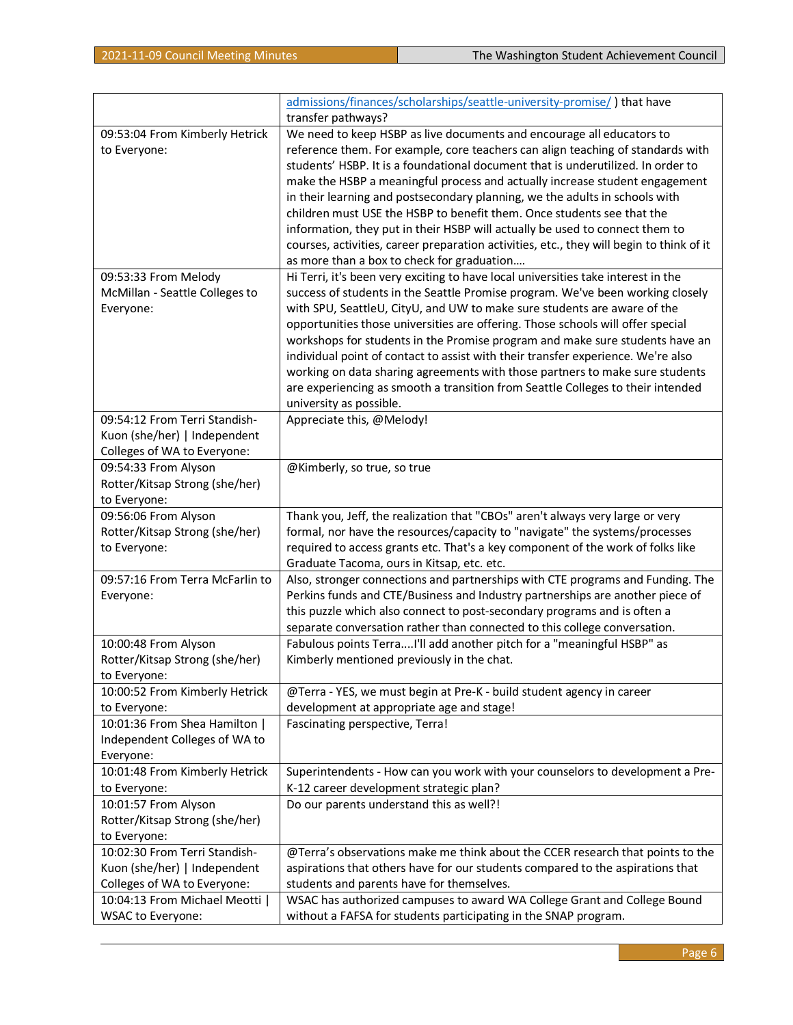|                                 | admissions/finances/scholarships/seattle-university-promise/) that have                  |
|---------------------------------|------------------------------------------------------------------------------------------|
|                                 | transfer pathways?                                                                       |
| 09:53:04 From Kimberly Hetrick  | We need to keep HSBP as live documents and encourage all educators to                    |
| to Everyone:                    | reference them. For example, core teachers can align teaching of standards with          |
|                                 | students' HSBP. It is a foundational document that is underutilized. In order to         |
|                                 | make the HSBP a meaningful process and actually increase student engagement              |
|                                 | in their learning and postsecondary planning, we the adults in schools with              |
|                                 | children must USE the HSBP to benefit them. Once students see that the                   |
|                                 | information, they put in their HSBP will actually be used to connect them to             |
|                                 | courses, activities, career preparation activities, etc., they will begin to think of it |
|                                 | as more than a box to check for graduation                                               |
| 09:53:33 From Melody            | Hi Terri, it's been very exciting to have local universities take interest in the        |
| McMillan - Seattle Colleges to  | success of students in the Seattle Promise program. We've been working closely           |
| Everyone:                       | with SPU, SeattleU, CityU, and UW to make sure students are aware of the                 |
|                                 | opportunities those universities are offering. Those schools will offer special          |
|                                 | workshops for students in the Promise program and make sure students have an             |
|                                 | individual point of contact to assist with their transfer experience. We're also         |
|                                 | working on data sharing agreements with those partners to make sure students             |
|                                 | are experiencing as smooth a transition from Seattle Colleges to their intended          |
|                                 | university as possible.                                                                  |
| 09:54:12 From Terri Standish-   | Appreciate this, @Melody!                                                                |
| Kuon (she/her)   Independent    |                                                                                          |
| Colleges of WA to Everyone:     |                                                                                          |
| 09:54:33 From Alyson            | @Kimberly, so true, so true                                                              |
| Rotter/Kitsap Strong (she/her)  |                                                                                          |
| to Everyone:                    |                                                                                          |
| 09:56:06 From Alyson            | Thank you, Jeff, the realization that "CBOs" aren't always very large or very            |
| Rotter/Kitsap Strong (she/her)  | formal, nor have the resources/capacity to "navigate" the systems/processes              |
| to Everyone:                    | required to access grants etc. That's a key component of the work of folks like          |
|                                 | Graduate Tacoma, ours in Kitsap, etc. etc.                                               |
| 09:57:16 From Terra McFarlin to | Also, stronger connections and partnerships with CTE programs and Funding. The           |
| Everyone:                       | Perkins funds and CTE/Business and Industry partnerships are another piece of            |
|                                 | this puzzle which also connect to post-secondary programs and is often a                 |
|                                 | separate conversation rather than connected to this college conversation.                |
| 10:00:48 From Alyson            | Fabulous points TerraI'll add another pitch for a "meaningful HSBP" as                   |
| Rotter/Kitsap Strong (she/her)  | Kimberly mentioned previously in the chat.                                               |
| to Everyone:                    |                                                                                          |
| 10:00:52 From Kimberly Hetrick  | @Terra - YES, we must begin at Pre-K - build student agency in career                    |
| to Everyone:                    | development at appropriate age and stage!                                                |
| 10:01:36 From Shea Hamilton     | Fascinating perspective, Terra!                                                          |
| Independent Colleges of WA to   |                                                                                          |
| Everyone:                       |                                                                                          |
| 10:01:48 From Kimberly Hetrick  | Superintendents - How can you work with your counselors to development a Pre-            |
| to Everyone:                    | K-12 career development strategic plan?                                                  |
| 10:01:57 From Alyson            | Do our parents understand this as well?!                                                 |
| Rotter/Kitsap Strong (she/her)  |                                                                                          |
| to Everyone:                    |                                                                                          |
| 10:02:30 From Terri Standish-   | @Terra's observations make me think about the CCER research that points to the           |
| Kuon (she/her)   Independent    | aspirations that others have for our students compared to the aspirations that           |
| Colleges of WA to Everyone:     | students and parents have for themselves.                                                |
| 10:04:13 From Michael Meotti    | WSAC has authorized campuses to award WA College Grant and College Bound                 |
| <b>WSAC to Everyone:</b>        | without a FAFSA for students participating in the SNAP program.                          |
|                                 |                                                                                          |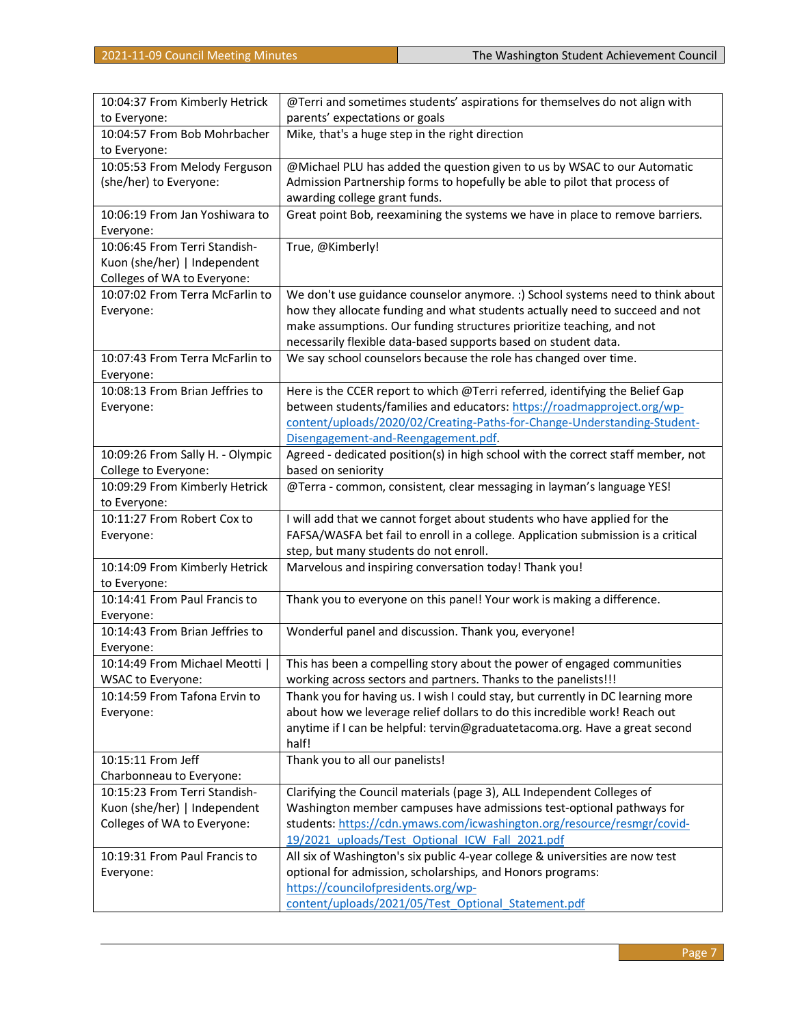| 10:04:37 From Kimberly Hetrick   | @Terri and sometimes students' aspirations for themselves do not align with       |
|----------------------------------|-----------------------------------------------------------------------------------|
| to Everyone:                     | parents' expectations or goals                                                    |
| 10:04:57 From Bob Mohrbacher     | Mike, that's a huge step in the right direction                                   |
| to Everyone:                     |                                                                                   |
| 10:05:53 From Melody Ferguson    | @Michael PLU has added the question given to us by WSAC to our Automatic          |
| (she/her) to Everyone:           | Admission Partnership forms to hopefully be able to pilot that process of         |
|                                  | awarding college grant funds.                                                     |
| 10:06:19 From Jan Yoshiwara to   | Great point Bob, reexamining the systems we have in place to remove barriers.     |
| Everyone:                        |                                                                                   |
| 10:06:45 From Terri Standish-    | True, @Kimberly!                                                                  |
| Kuon (she/her)   Independent     |                                                                                   |
| Colleges of WA to Everyone:      |                                                                                   |
| 10:07:02 From Terra McFarlin to  | We don't use guidance counselor anymore. :) School systems need to think about    |
| Everyone:                        | how they allocate funding and what students actually need to succeed and not      |
|                                  | make assumptions. Our funding structures prioritize teaching, and not             |
|                                  | necessarily flexible data-based supports based on student data.                   |
| 10:07:43 From Terra McFarlin to  | We say school counselors because the role has changed over time.                  |
| Everyone:                        |                                                                                   |
| 10:08:13 From Brian Jeffries to  | Here is the CCER report to which @Terri referred, identifying the Belief Gap      |
| Everyone:                        | between students/families and educators: https://roadmapproject.org/wp-           |
|                                  | content/uploads/2020/02/Creating-Paths-for-Change-Understanding-Student-          |
|                                  | Disengagement-and-Reengagement.pdf                                                |
| 10:09:26 From Sally H. - Olympic | Agreed - dedicated position(s) in high school with the correct staff member, not  |
| College to Everyone:             | based on seniority                                                                |
| 10:09:29 From Kimberly Hetrick   | @Terra - common, consistent, clear messaging in layman's language YES!            |
| to Everyone:                     |                                                                                   |
| 10:11:27 From Robert Cox to      | I will add that we cannot forget about students who have applied for the          |
| Everyone:                        | FAFSA/WASFA bet fail to enroll in a college. Application submission is a critical |
|                                  | step, but many students do not enroll.                                            |
| 10:14:09 From Kimberly Hetrick   | Marvelous and inspiring conversation today! Thank you!                            |
| to Everyone:                     |                                                                                   |
| 10:14:41 From Paul Francis to    | Thank you to everyone on this panel! Your work is making a difference.            |
| Everyone:                        |                                                                                   |
| 10:14:43 From Brian Jeffries to  | Wonderful panel and discussion. Thank you, everyone!                              |
| Everyone:                        |                                                                                   |
| 10:14:49 From Michael Meotti     | This has been a compelling story about the power of engaged communities           |
| WSAC to Everyone:                | working across sectors and partners. Thanks to the panelists!!!                   |
| 10:14:59 From Tafona Ervin to    | Thank you for having us. I wish I could stay, but currently in DC learning more   |
| Everyone:                        | about how we leverage relief dollars to do this incredible work! Reach out        |
|                                  | anytime if I can be helpful: tervin@graduatetacoma.org. Have a great second       |
|                                  | half!                                                                             |
| 10:15:11 From Jeff               | Thank you to all our panelists!                                                   |
| Charbonneau to Everyone:         |                                                                                   |
| 10:15:23 From Terri Standish-    | Clarifying the Council materials (page 3), ALL Independent Colleges of            |
| Kuon (she/her)   Independent     | Washington member campuses have admissions test-optional pathways for             |
| Colleges of WA to Everyone:      | students: https://cdn.ymaws.com/icwashington.org/resource/resmgr/covid-           |
|                                  | 19/2021 uploads/Test Optional ICW Fall 2021.pdf                                   |
| 10:19:31 From Paul Francis to    | All six of Washington's six public 4-year college & universities are now test     |
| Everyone:                        | optional for admission, scholarships, and Honors programs:                        |
|                                  | https://councilofpresidents.org/wp-                                               |
|                                  | content/uploads/2021/05/Test Optional Statement.pdf                               |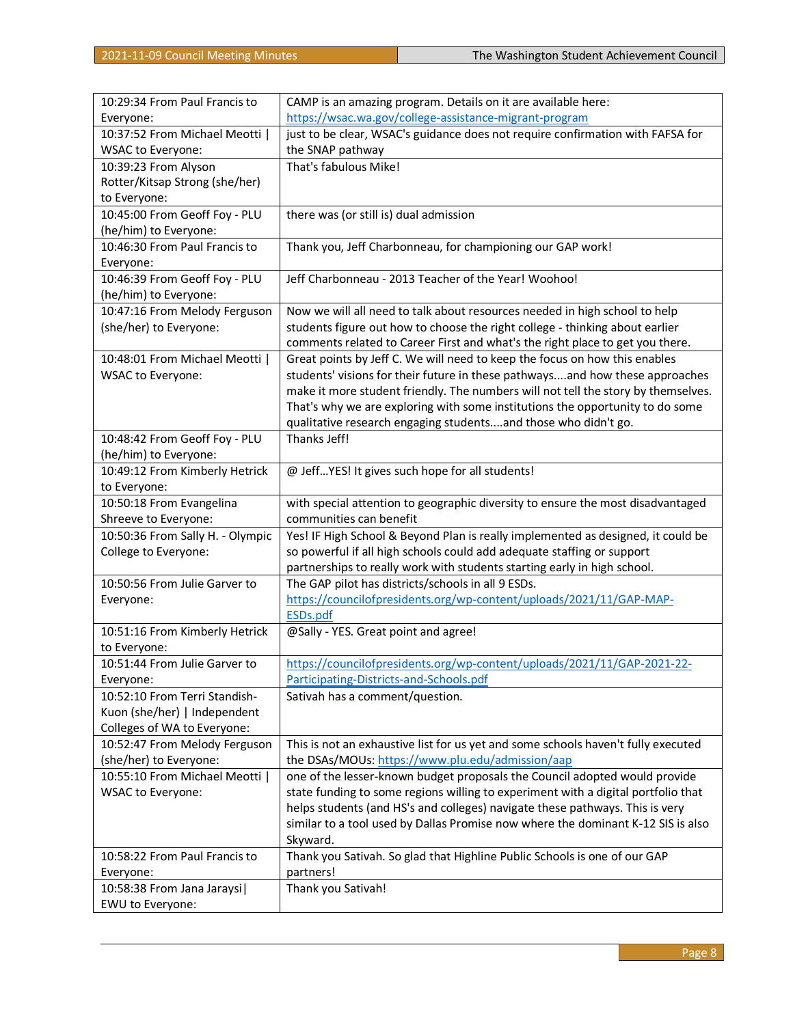| 10:29:34 From Paul Francis to              | CAMP is an amazing program. Details on it are available here:                                                                  |
|--------------------------------------------|--------------------------------------------------------------------------------------------------------------------------------|
| Everyone:                                  | https://wsac.wa.gov/college-assistance-migrant-program                                                                         |
| 10:37:52 From Michael Meotti               | just to be clear, WSAC's guidance does not require confirmation with FAFSA for                                                 |
| WSAC to Everyone:                          | the SNAP pathway                                                                                                               |
| 10:39:23 From Alyson                       | That's fabulous Mike!                                                                                                          |
| Rotter/Kitsap Strong (she/her)             |                                                                                                                                |
| to Everyone:                               |                                                                                                                                |
| 10:45:00 From Geoff Foy - PLU              | there was (or still is) dual admission                                                                                         |
| (he/him) to Everyone:                      |                                                                                                                                |
| 10:46:30 From Paul Francis to              | Thank you, Jeff Charbonneau, for championing our GAP work!                                                                     |
| Everyone:                                  |                                                                                                                                |
| 10:46:39 From Geoff Foy - PLU              | Jeff Charbonneau - 2013 Teacher of the Year! Woohoo!                                                                           |
| (he/him) to Everyone:                      |                                                                                                                                |
| 10:47:16 From Melody Ferguson              | Now we will all need to talk about resources needed in high school to help                                                     |
| (she/her) to Everyone:                     | students figure out how to choose the right college - thinking about earlier                                                   |
|                                            | comments related to Career First and what's the right place to get you there.                                                  |
| 10:48:01 From Michael Meotti               | Great points by Jeff C. We will need to keep the focus on how this enables                                                     |
| WSAC to Everyone:                          | students' visions for their future in these pathwaysand how these approaches                                                   |
|                                            | make it more student friendly. The numbers will not tell the story by themselves.                                              |
|                                            | That's why we are exploring with some institutions the opportunity to do some                                                  |
|                                            | qualitative research engaging studentsand those who didn't go.                                                                 |
| 10:48:42 From Geoff Foy - PLU              | Thanks Jeff!                                                                                                                   |
| (he/him) to Everyone:                      |                                                                                                                                |
| 10:49:12 From Kimberly Hetrick             | @ JeffYES! It gives such hope for all students!                                                                                |
| to Everyone:                               |                                                                                                                                |
| 10:50:18 From Evangelina                   | with special attention to geographic diversity to ensure the most disadvantaged                                                |
| Shreeve to Everyone:                       | communities can benefit                                                                                                        |
| 10:50:36 From Sally H. - Olympic           | Yes! IF High School & Beyond Plan is really implemented as designed, it could be                                               |
| College to Everyone:                       | so powerful if all high schools could add adequate staffing or support                                                         |
|                                            | partnerships to really work with students starting early in high school.<br>The GAP pilot has districts/schools in all 9 ESDs. |
| 10:50:56 From Julie Garver to<br>Everyone: | https://councilofpresidents.org/wp-content/uploads/2021/11/GAP-MAP-                                                            |
|                                            | <b>ESDs.pdf</b>                                                                                                                |
| 10:51:16 From Kimberly Hetrick             | @Sally - YES. Great point and agree!                                                                                           |
| to Everyone:                               |                                                                                                                                |
| 10:51:44 From Julie Garver to              | https://councilofpresidents.org/wp-content/uploads/2021/11/GAP-2021-22-                                                        |
| Everyone:                                  | Participating-Districts-and-Schools.pdf                                                                                        |
| 10:52:10 From Terri Standish-              | Sativah has a comment/question.                                                                                                |
| Kuon (she/her)   Independent               |                                                                                                                                |
| Colleges of WA to Everyone:                |                                                                                                                                |
| 10:52:47 From Melody Ferguson              | This is not an exhaustive list for us yet and some schools haven't fully executed                                              |
| (she/her) to Everyone:                     | the DSAs/MOUs: https://www.plu.edu/admission/aap                                                                               |
| 10:55:10 From Michael Meotti               | one of the lesser-known budget proposals the Council adopted would provide                                                     |
| WSAC to Everyone:                          | state funding to some regions willing to experiment with a digital portfolio that                                              |
|                                            | helps students (and HS's and colleges) navigate these pathways. This is very                                                   |
|                                            | similar to a tool used by Dallas Promise now where the dominant K-12 SIS is also                                               |
|                                            | Skyward.                                                                                                                       |
| 10:58:22 From Paul Francis to              | Thank you Sativah. So glad that Highline Public Schools is one of our GAP                                                      |
| Everyone:                                  | partners!                                                                                                                      |
| 10:58:38 From Jana Jaraysi                 | Thank you Sativah!                                                                                                             |
| EWU to Everyone:                           |                                                                                                                                |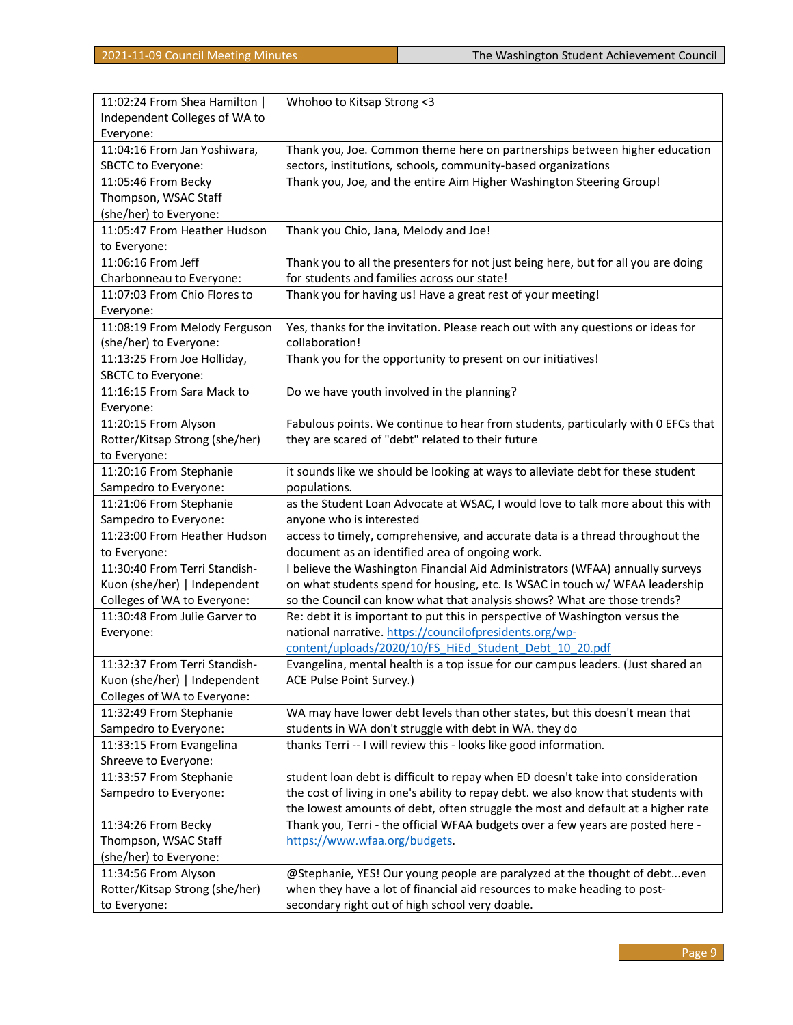| 11:02:24 From Shea Hamilton    | Whohoo to Kitsap Strong <3                                                         |
|--------------------------------|------------------------------------------------------------------------------------|
| Independent Colleges of WA to  |                                                                                    |
| Everyone:                      |                                                                                    |
| 11:04:16 From Jan Yoshiwara,   | Thank you, Joe. Common theme here on partnerships between higher education         |
| SBCTC to Everyone:             | sectors, institutions, schools, community-based organizations                      |
| 11:05:46 From Becky            | Thank you, Joe, and the entire Aim Higher Washington Steering Group!               |
| Thompson, WSAC Staff           |                                                                                    |
| (she/her) to Everyone:         |                                                                                    |
| 11:05:47 From Heather Hudson   | Thank you Chio, Jana, Melody and Joe!                                              |
| to Everyone:                   |                                                                                    |
| 11:06:16 From Jeff             | Thank you to all the presenters for not just being here, but for all you are doing |
| Charbonneau to Everyone:       | for students and families across our state!                                        |
| 11:07:03 From Chio Flores to   | Thank you for having us! Have a great rest of your meeting!                        |
| Everyone:                      |                                                                                    |
| 11:08:19 From Melody Ferguson  | Yes, thanks for the invitation. Please reach out with any questions or ideas for   |
| (she/her) to Everyone:         | collaboration!                                                                     |
| 11:13:25 From Joe Holliday,    | Thank you for the opportunity to present on our initiatives!                       |
| SBCTC to Everyone:             |                                                                                    |
| 11:16:15 From Sara Mack to     | Do we have youth involved in the planning?                                         |
| Everyone:                      |                                                                                    |
| 11:20:15 From Alyson           | Fabulous points. We continue to hear from students, particularly with 0 EFCs that  |
| Rotter/Kitsap Strong (she/her) | they are scared of "debt" related to their future                                  |
| to Everyone:                   |                                                                                    |
| 11:20:16 From Stephanie        | it sounds like we should be looking at ways to alleviate debt for these student    |
| Sampedro to Everyone:          | populations.                                                                       |
| 11:21:06 From Stephanie        | as the Student Loan Advocate at WSAC, I would love to talk more about this with    |
| Sampedro to Everyone:          | anyone who is interested                                                           |
| 11:23:00 From Heather Hudson   | access to timely, comprehensive, and accurate data is a thread throughout the      |
| to Everyone:                   | document as an identified area of ongoing work.                                    |
| 11:30:40 From Terri Standish-  | I believe the Washington Financial Aid Administrators (WFAA) annually surveys      |
| Kuon (she/her)   Independent   | on what students spend for housing, etc. Is WSAC in touch w/ WFAA leadership       |
| Colleges of WA to Everyone:    | so the Council can know what that analysis shows? What are those trends?           |
| 11:30:48 From Julie Garver to  | Re: debt it is important to put this in perspective of Washington versus the       |
| Everyone:                      | national narrative. https://councilofpresidents.org/wp-                            |
|                                | content/uploads/2020/10/FS HiEd Student Debt 10 20.pdf                             |
| 11:32:37 From Terri Standish-  | Evangelina, mental health is a top issue for our campus leaders. (Just shared an   |
| Kuon (she/her)   Independent   | ACE Pulse Point Survey.)                                                           |
| Colleges of WA to Everyone:    |                                                                                    |
| 11:32:49 From Stephanie        | WA may have lower debt levels than other states, but this doesn't mean that        |
| Sampedro to Everyone:          | students in WA don't struggle with debt in WA. they do                             |
| 11:33:15 From Evangelina       | thanks Terri -- I will review this - looks like good information.                  |
| Shreeve to Everyone:           |                                                                                    |
| 11:33:57 From Stephanie        | student loan debt is difficult to repay when ED doesn't take into consideration    |
| Sampedro to Everyone:          | the cost of living in one's ability to repay debt. we also know that students with |
|                                | the lowest amounts of debt, often struggle the most and default at a higher rate   |
| 11:34:26 From Becky            | Thank you, Terri - the official WFAA budgets over a few years are posted here -    |
| Thompson, WSAC Staff           | https://www.wfaa.org/budgets.                                                      |
| (she/her) to Everyone:         |                                                                                    |
| 11:34:56 From Alyson           | @Stephanie, YES! Our young people are paralyzed at the thought of debteven         |
| Rotter/Kitsap Strong (she/her) | when they have a lot of financial aid resources to make heading to post-           |
| to Everyone:                   | secondary right out of high school very doable.                                    |